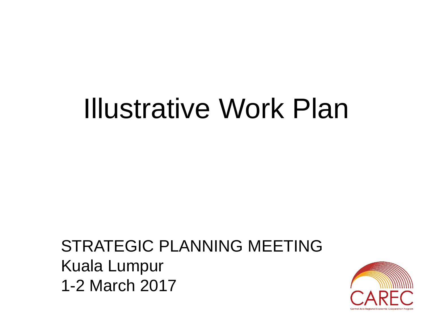# Illustrative Work Plan

#### STRATEGIC PLANNING MEETING Kuala Lumpur 1-2 March 2017

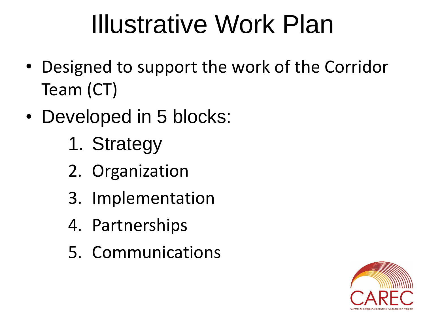## Illustrative Work Plan

- Designed to support the work of the Corridor Team (CT)
- Developed in 5 blocks:
	- 1. Strategy
	- 2. Organization
	- 3. Implementation
	- 4. Partnerships
	- 5. Communications

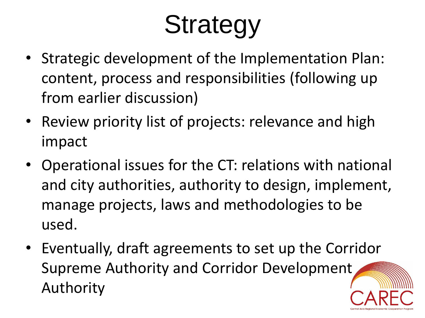# **Strategy**

- Strategic development of the Implementation Plan: content, process and responsibilities (following up from earlier discussion)
- Review priority list of projects: relevance and high impact
- Operational issues for the CT: relations with national and city authorities, authority to design, implement, manage projects, laws and methodologies to be used.
- Eventually, draft agreements to set up the Corridor Supreme Authority and Corridor Development Authority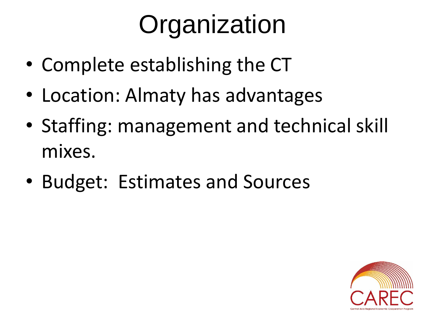# **Organization**

- Complete establishing the CT
- Location: Almaty has advantages
- Staffing: management and technical skill mixes.
- Budget: Estimates and Sources

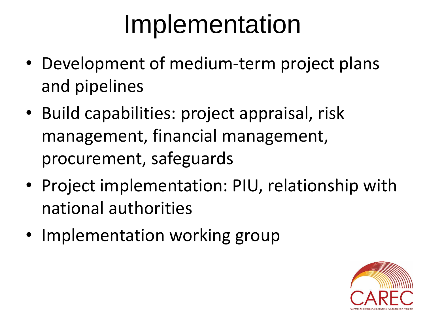## Implementation

- Development of medium-term project plans and pipelines
- Build capabilities: project appraisal, risk management, financial management, procurement, safeguards
- Project implementation: PIU, relationship with national authorities
- Implementation working group

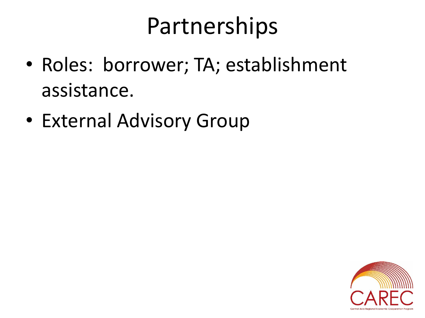### Partnerships

- Roles: borrower; TA; establishment assistance.
- External Advisory Group

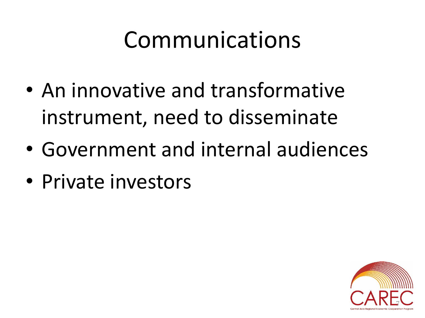## Communications

- An innovative and transformative instrument, need to disseminate
- Government and internal audiences
- Private investors

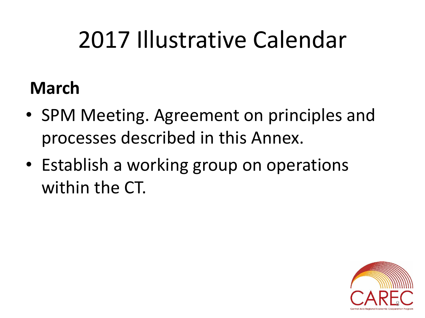## 2017 Illustrative Calendar

#### **March**

- SPM Meeting. Agreement on principles and processes described in this Annex.
- Establish a working group on operations within the CT.

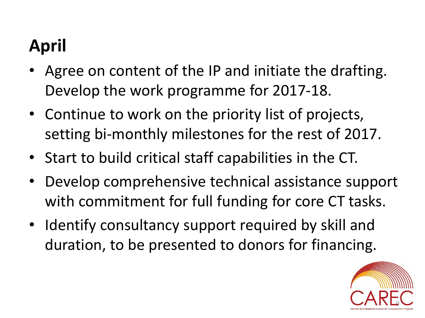### **April**

- Agree on content of the IP and initiate the drafting. Develop the work programme for 2017-18.
- Continue to work on the priority list of projects, setting bi-monthly milestones for the rest of 2017.
- Start to build critical staff capabilities in the CT.
- Develop comprehensive technical assistance support with commitment for full funding for core CT tasks.
- Identify consultancy support required by skill and duration, to be presented to donors for financing.

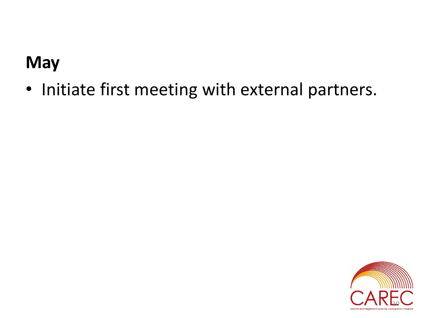#### **May**

• Initiate first meeting with external partners.

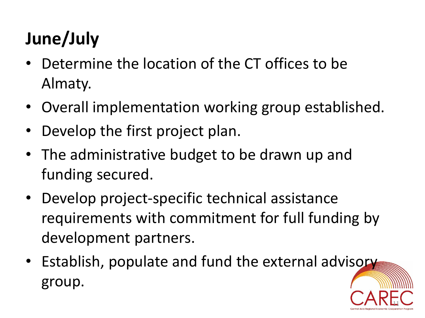### **June/July**

- Determine the location of the CT offices to be Almaty.
- Overall implementation working group established.
- Develop the first project plan.
- The administrative budget to be drawn up and funding secured.
- Develop project-specific technical assistance requirements with commitment for full funding by development partners.
- Establish, populate and fund the external advisory group.

11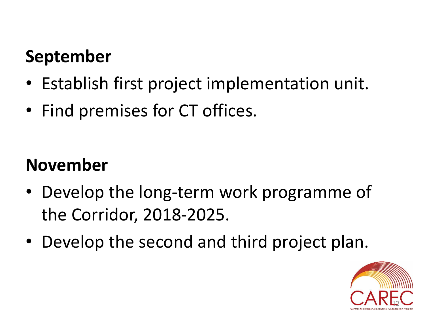#### **September**

- Establish first project implementation unit.
- Find premises for CT offices.

#### **November**

- Develop the long-term work programme of the Corridor, 2018-2025.
- Develop the second and third project plan.